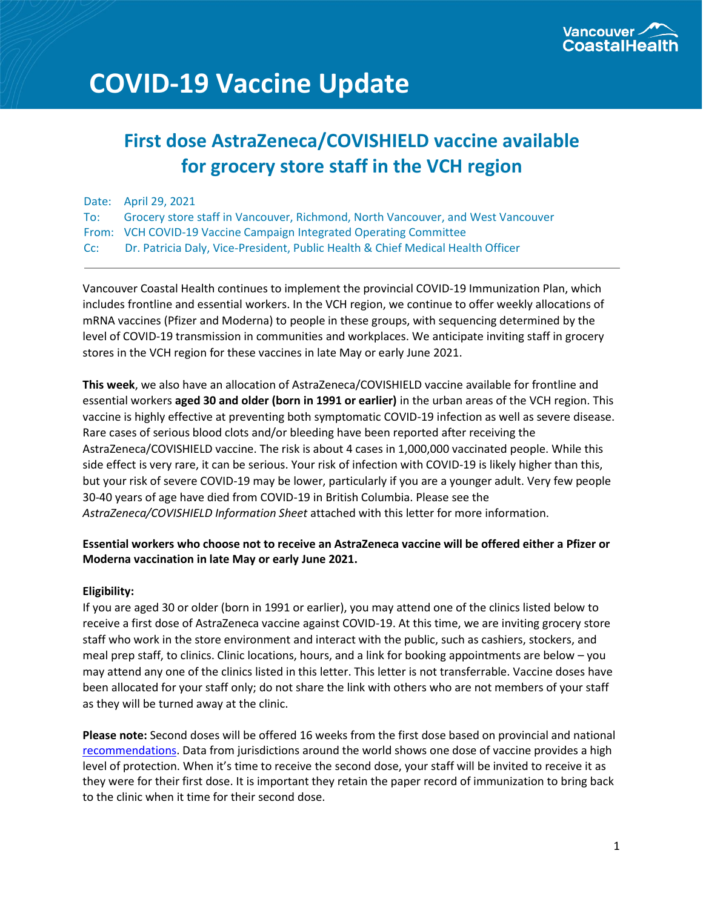

# **COVID-19 Vaccine Update**

# **First dose AstraZeneca/COVISHIELD vaccine available for grocery store staff in the VCH region**

|     | Date: April 29, 2021                                                            |
|-----|---------------------------------------------------------------------------------|
| To: | Grocery store staff in Vancouver, Richmond, North Vancouver, and West Vancouver |
|     | From: VCH COVID-19 Vaccine Campaign Integrated Operating Committee              |
| Cc: | Dr. Patricia Daly, Vice-President, Public Health & Chief Medical Health Officer |

Vancouver Coastal Health continues to implement the provincial COVID-19 Immunization Plan, which includes frontline and essential workers. In the VCH region, we continue to offer weekly allocations of mRNA vaccines (Pfizer and Moderna) to people in these groups, with sequencing determined by the level of COVID-19 transmission in communities and workplaces. We anticipate inviting staff in grocery stores in the VCH region for these vaccines in late May or early June 2021.

**This week**, we also have an allocation of AstraZeneca/COVISHIELD vaccine available for frontline and essential workers **aged 30 and older (born in 1991 or earlier)** in the urban areas of the VCH region. This vaccine is highly effective at preventing both symptomatic COVID-19 infection as well as severe disease. Rare cases of serious blood clots and/or bleeding have been reported after receiving the AstraZeneca/COVISHIELD vaccine. The risk is about 4 cases in 1,000,000 vaccinated people. While this side effect is very rare, it can be serious. Your risk of infection with COVID-19 is likely higher than this, but your risk of severe COVID-19 may be lower, particularly if you are a younger adult. Very few people 30-40 years of age have died from COVID-19 in British Columbia. Please see the *AstraZeneca/COVISHIELD Information Sheet* attached with this letter for more information.

# **Essential workers who choose not to receive an AstraZeneca vaccine will be offered either a Pfizer or Moderna vaccination in late May or early June 2021.**

### **Eligibility:**

If you are aged 30 or older (born in 1991 or earlier), you may attend one of the clinics listed below to receive a first dose of AstraZeneca vaccine against COVID-19. At this time, we are inviting grocery store staff who work in the store environment and interact with the public, such as cashiers, stockers, and meal prep staff, to clinics. Clinic locations, hours, and a link for booking appointments are below – you may attend any one of the clinics listed in this letter. This letter is not transferrable. Vaccine doses have been allocated for your staff only; do not share the link with others who are not members of your staff as they will be turned away at the clinic.

**Please note:** Second doses will be offered 16 weeks from the first dose based on provincial and national [recommendations.](https://www.canada.ca/content/dam/phac-aspc/documents/services/immunization/national-advisory-committee-on-immunization-naci/naci-summary-extended-dose-interval-statement-en.pdf) Data from jurisdictions around the world shows one dose of vaccine provides a high level of protection. When it's time to receive the second dose, your staff will be invited to receive it as they were for their first dose. It is important they retain the paper record of immunization to bring back to the clinic when it time for their second dose.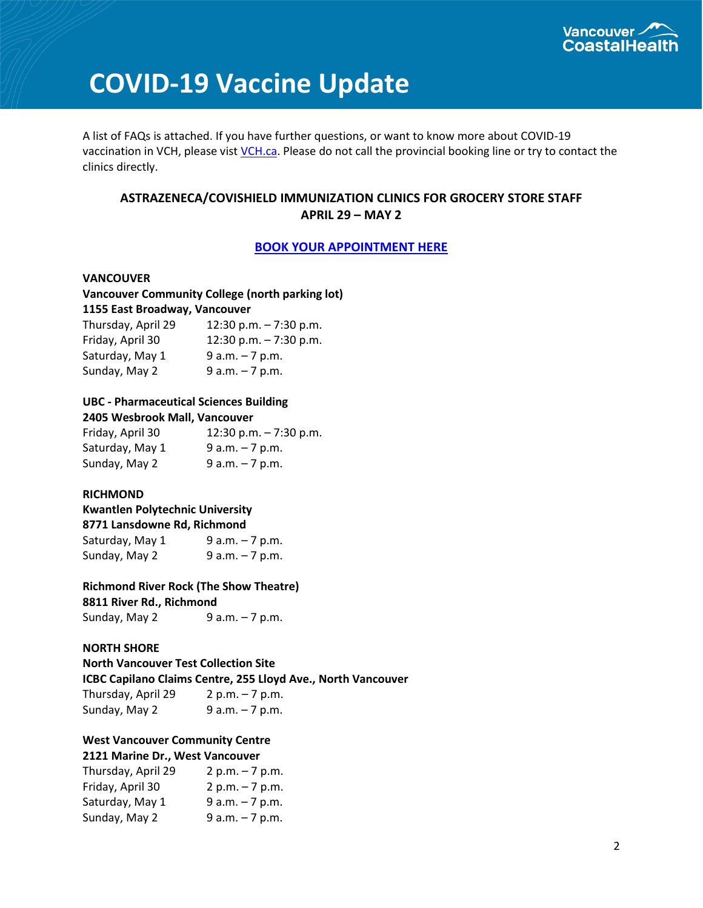

# **COVID-19 Vaccine Update**

A list of FAQs is attached. If you have further questions, or want to know more about COVID-19 vaccination in VCH, please vis[t VCH.ca.](http://www.vch.ca/covid-19/covid-19-vaccine/frequently-asked-questions-about-covid-19-vaccines) Please do not call the provincial booking line or try to contact the clinics directly.

# **ASTRAZENECA/COVISHIELD IMMUNIZATION CLINICS FOR GROCERY STORE STAFF APRIL 29 – MAY 2**

#### **[BOOK YOUR APPOINTMENT HERE](https://vchcovid19vaccine.com/)**

**VANCOUVER Vancouver Community College (north parking lot) 1155 East Broadway, Vancouver** Thursday, April 29 12:30 p.m. – 7:30 p.m.

| $11101300y,$ $\Delta$ $01112J$ | <b>TR'SOLATING</b> N'III' |
|--------------------------------|---------------------------|
| Friday, April 30               | 12:30 p.m. $-7:30$ p.m.   |
| Saturday, May 1                | $9 a.m. - 7 p.m.$         |
| Sunday, May 2                  | $9 a.m. - 7 p.m.$         |

#### **UBC - Pharmaceutical Sciences Building 2405 Wesbrook Mall, Vancouver**

| Friday, April 30 | 12:30 p.m. $-7:30$ p.m. |
|------------------|-------------------------|
| Saturday, May 1  | $9 a.m. - 7 p.m.$       |
| Sunday, May 2    | $9 a.m. - 7 p.m.$       |

### **RICHMOND**

# **Kwantlen Polytechnic University 8771 Lansdowne Rd, Richmond** Saturday, May  $1$  9 a.m.  $-7$  p.m.

| Sunday, May 2 | $9 a.m. - 7 p.m.$ |
|---------------|-------------------|
|               |                   |

### **Richmond River Rock (The Show Theatre)**

**8811 River Rd., Richmond**

Sunday, May 2  $9 a.m. - 7 p.m.$ 

#### **NORTH SHORE**

### **North Vancouver Test Collection Site ICBC Capilano Claims Centre, 255 Lloyd Ave., North Vancouver**

| Thursday, April 29 | $2 p.m. - 7 p.m.$ |
|--------------------|-------------------|
| Sunday, May 2      | $9 a.m. - 7 p.m.$ |

# **West Vancouver Community Centre**

# **2121 Marine Dr., West Vancouver**

| Thursday, April 29 | $2 p.m. - 7 p.m.$ |
|--------------------|-------------------|
| Friday, April 30   | $2 p.m. - 7 p.m.$ |
| Saturday, May 1    | $9 a.m. - 7 p.m.$ |
| Sunday, May 2      | $9 a.m. - 7 p.m.$ |